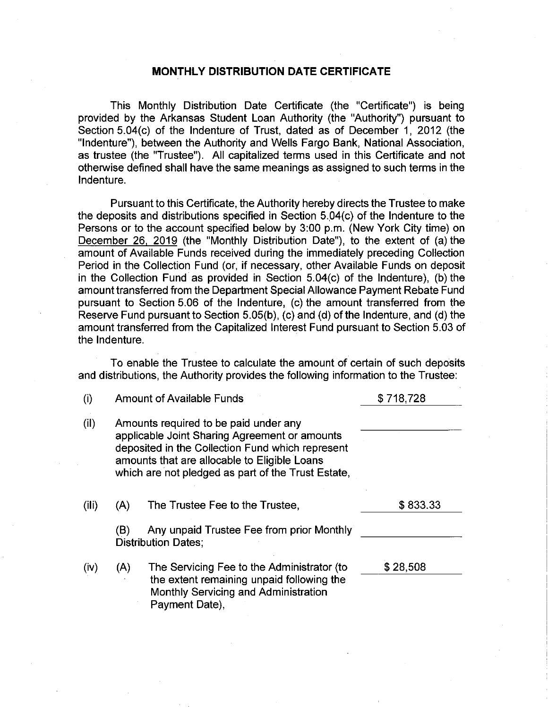## MONTHLY DISTRIBUTION DATE CERTIFICATE

This Monthly Distribution Date Certificate (the "Certificate") is being provided by the Arkansas Student Loan Authority (the "Authority") pursuant to Section 5.04(c) of the Indenture of Trust, dated as of December 1, 2012 (the "Indenture"), between the Authority and Wells Fargo Bank, National Association, as trustee (the "Trustee"). All capitalized terms used in this Certificate and not otherwise defined shall have the same meanings as assigned to such terms in the Indenture.

Pursuant to this Certificate, the Authority hereby directs the Trustee to make the deposits and distributions specified in Section  $5.04(c)$  of the Indenture to the Persons or to the account specified below by 3:00 p.m. (New York City time) on December 26, <sup>2019</sup> (the "Monthly Distribution Date"), to the extent of (a) the amount of Available Funds received during the immediately preceding Collection Period in the Collection Fund (or, if necessary, other Available Funds on deposit in the Collection Fund as provided in Section 5.04(c) of the Indenture), (b) the amount transferred from the Department Special Allowance Payment Rebate Fund pursuant to Section 5.06 of the Indenture, (c) the amount transferred from the Reserve Fund pursuant to Section  $5.05(b)$ , (c) and (d) of the Indenture, and (d) the amount transferred from the Capitalized Interest Fund pursuant to Section 5.03 of the Indenture.

To enable the Trustee to calculate the amount of certain of such deposits and distributions, the Authority provides the following information to the Trustee:

| (i)   |                                                                                                                                                                                                                                                  | <b>Amount of Available Funds</b>                                                                                                                  | \$718,728 |  |
|-------|--------------------------------------------------------------------------------------------------------------------------------------------------------------------------------------------------------------------------------------------------|---------------------------------------------------------------------------------------------------------------------------------------------------|-----------|--|
| (ii)  | Amounts required to be paid under any<br>applicable Joint Sharing Agreement or amounts<br>deposited in the Collection Fund which represent<br>amounts that are allocable to Eligible Loans<br>which are not pledged as part of the Trust Estate, |                                                                                                                                                   |           |  |
| (iii) | (A)                                                                                                                                                                                                                                              | The Trustee Fee to the Trustee,                                                                                                                   | \$833.33  |  |
|       | (B)                                                                                                                                                                                                                                              | Any unpaid Trustee Fee from prior Monthly<br><b>Distribution Dates;</b>                                                                           |           |  |
| (iv)  | (A)                                                                                                                                                                                                                                              | The Servicing Fee to the Administrator (to<br>the extent remaining unpaid following the<br>Monthly Servicing and Administration<br>Payment Date), | \$28,508  |  |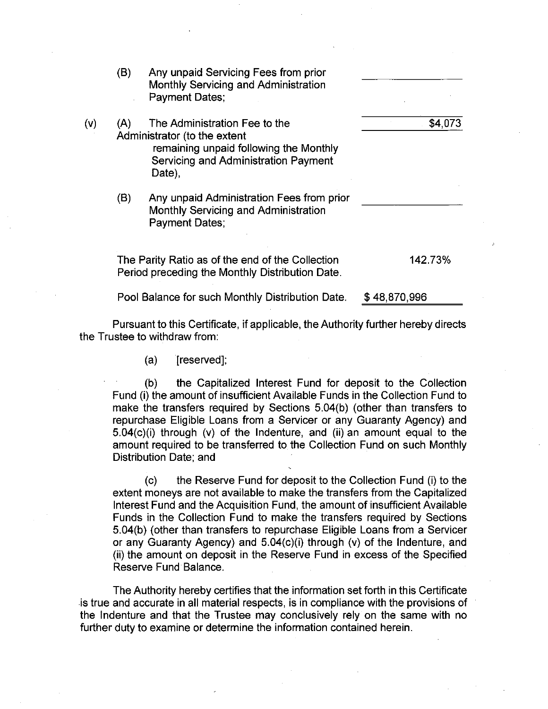|     | (B) | Any unpaid Servicing Fees from prior<br>Monthly Servicing and Administration<br><b>Payment Dates:</b>                                                     |         |
|-----|-----|-----------------------------------------------------------------------------------------------------------------------------------------------------------|---------|
| (v) | (A) | The Administration Fee to the<br>Administrator (to the extent<br>remaining unpaid following the Monthly<br>Servicing and Administration Payment<br>Date), | \$4,073 |
|     | (B) | Any unpaid Administration Fees from prior<br>Monthly Servicing and Administration<br><b>Payment Dates:</b>                                                |         |
|     |     | The Parity Ratio as of the end of the Collection                                                                                                          | 142.73% |

Period preceding the Monthly Distribution Date.

Pool Balance for such Monthly Distribution Date. \$48,870,996

Pursuant to this Certificate, if applicable, the Authority further hereby directs the Trustee to withdraw from:

(a) [reserved];

(b) the Capitalized Interest Fund for deposit to the Collection Fund (i) the amount of insufficient Available Funds in the Collection Fund to make the transfers required by Sections 5.04(b) (other than transfers to repurchase Eligible Loans from a Servicer or any Guaranty Agency) and 5.04(c)(i) through (v) of the Indenture, and (ii) an amount equal to the amount required to be transferred to the Collection Fund on such Monthly Distribution Date; and

(c) the Reserve Fund for deposit to the Collection Fund (i) to the extent moneys are not available to make the transfers from the Capitalized Interest Fund and the Acquisition Fund, the amount of insufficient Available Funds in the Collection Fund to make the transfers required by Sections 5.04(b) (other than transfers to repurchase Eligible Loans from a Servicer or any Guaranty Agency) and 5.04(c)(i) through (v) of the Indenture, and (ii) the amount on deposit in the Reserve Fund in excess of the Specified Reserve Fund Balance.

The Authority hereby certifies that the information set forth in this Certificate is true and accurate in all material respects, is in compliance with the provisions of the Indenture and that the Trustee may conclusively rely on the same with no further duty to examine or determine the information contained herein.